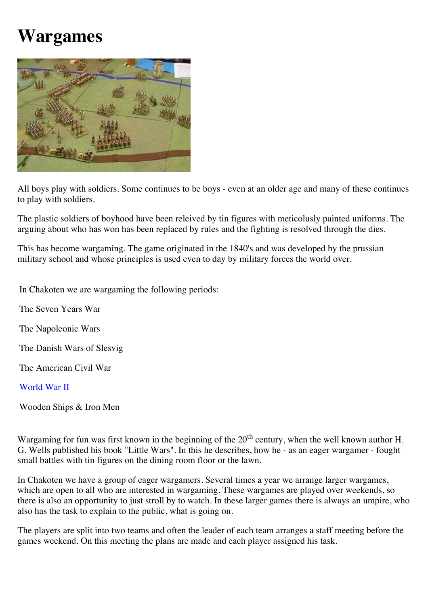## **Wargames**



All boys play with soldiers. Some continues to be boys - even at an older age and many of these continues to play with soldiers.

The plastic soldiers of boyhood have been releived by tin figures with meticolusly painted uniforms. The arguing about who has won has been replaced by rules and the fighting is resolved through the dies.

This has become wargaming. The game originated in the 1840's and was developed by the prussian military school and whose principles is used even to day by military forces the world over.

In Chakoten we are wargaming the following periods:

The Seven Years War

The Napoleonic Wars

The Danish Wars of Slesvig

The American Civil War

[World War II](file:///Users/christian%201/Desktop/wargames/cdIIIe.html)

Wooden Ships & Iron Men

Wargaming for fun was first known in the beginning of the 20<sup>th</sup> century, when the well known author H. G. Wells published his book "Little Wars". In this he describes, how he - as an eager wargamer - fought small battles with tin figures on the dining room floor or the lawn.

In Chakoten we have a group of eager wargamers. Several times a year we arrange larger wargames, which are open to all who are interested in wargaming. These wargames are played over weekends, so there is also an opportunity to just stroll by to watch. In these larger games there is always an umpire, who also has the task to explain to the public, what is going on.

The players are split into two teams and often the leader of each team arranges a staff meeting before the games weekend. On this meeting the plans are made and each player assigned his task.